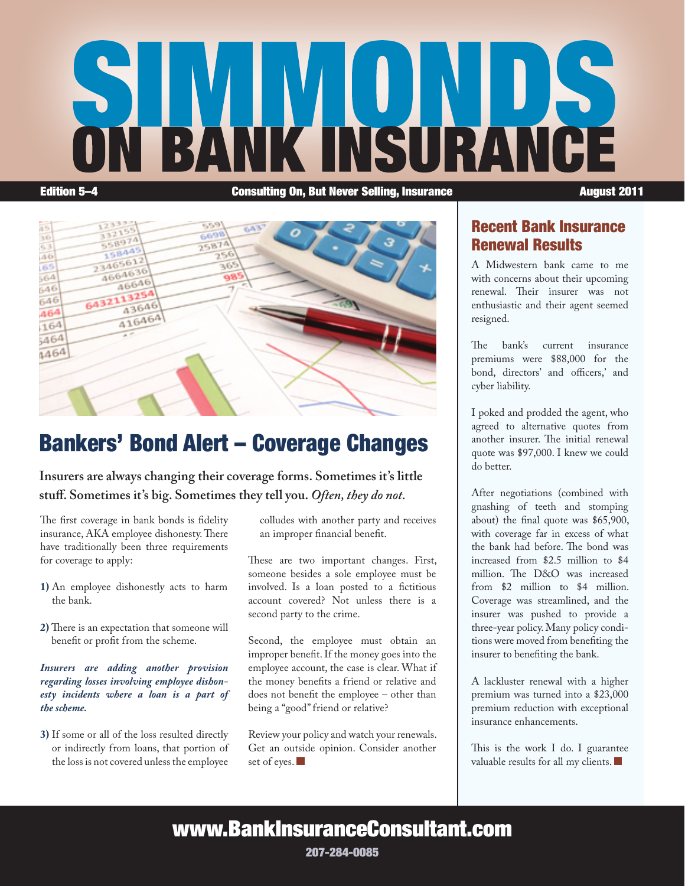# **NSURAN** Edition 5–4 Consulting On, But Never Selling, Insurance August 2011



## Bankers' Bond Alert – Coverage Changes

**Insurers are always changing their coverage forms. Sometimes it's little stuff. Sometimes it's big. Sometimes they tell you.** *Often, they do not.* 

The first coverage in bank bonds is fidelity insurance, AKA employee dishonesty. There have traditionally been three requirements for coverage to apply:

- **1)** An employee dishonestly acts to harm the bank.
- **2)** There is an expectation that someone will benefit or profit from the scheme.

*Insurers are adding another provision regarding losses involving employee dishonesty incidents where a loan is a part of the scheme.* 

**3)** If some or all of the loss resulted directly or indirectly from loans, that portion of the loss is not covered unless the employee

colludes with another party and receives an improper financial benefit.

These are two important changes. First, someone besides a sole employee must be involved. Is a loan posted to a fictitious account covered? Not unless there is a second party to the crime.

Second, the employee must obtain an improper benefit. If the money goes into the employee account, the case is clear. What if the money benefits a friend or relative and does not benefit the employee – other than being a "good" friend or relative?

Review your policy and watch your renewals. Get an outside opinion. Consider another set of eyes.

#### Recent Bank Insurance Renewal Results

A Midwestern bank came to me with concerns about their upcoming renewal. Their insurer was not enthusiastic and their agent seemed resigned.

The bank's current insurance premiums were \$88,000 for the bond, directors' and officers,' and cyber liability.

I poked and prodded the agent, who agreed to alternative quotes from another insurer. The initial renewal quote was \$97,000. I knew we could do better.

After negotiations (combined with gnashing of teeth and stomping about) the final quote was \$65,900, with coverage far in excess of what the bank had before. The bond was increased from \$2.5 million to \$4 million. The D&O was increased from \$2 million to \$4 million. Coverage was streamlined, and the insurer was pushed to provide a three-year policy. Many policy conditions were moved from benefiting the insurer to benefiting the bank.

A lackluster renewal with a higher premium was turned into a \$23,000 premium reduction with exceptional insurance enhancements.

This is the work I do. I guarantee valuable results for all my clients.

## www.BankInsuranceConsultant.com

207-284-0085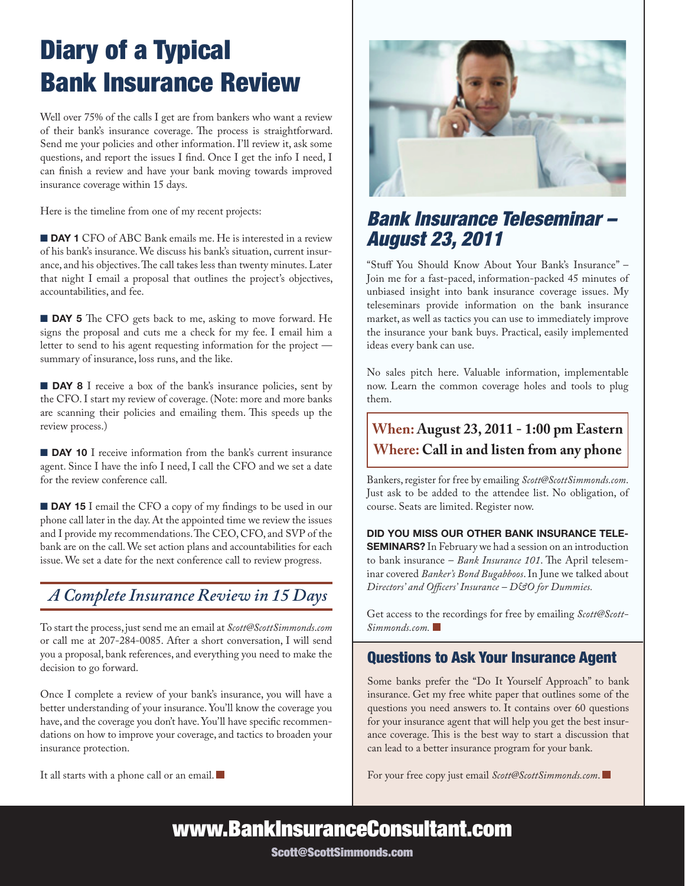## Diary of a Typical Bank Insurance Review

Well over 75% of the calls I get are from bankers who want a review of their bank's insurance coverage. The process is straightforward. Send me your policies and other information. I'll review it, ask some questions, and report the issues I find. Once I get the info I need, I can finish a review and have your bank moving towards improved insurance coverage within 15 days.

Here is the timeline from one of my recent projects:

**DAY 1** CFO of ABC Bank emails me. He is interested in a review of his bank's insurance. We discuss his bank's situation, current insurance, and his objectives. The call takes less than twenty minutes. Later that night I email a proposal that outlines the project's objectives, accountabilities, and fee.

**DAY 5** The CFO gets back to me, asking to move forward. He signs the proposal and cuts me a check for my fee. I email him a letter to send to his agent requesting information for the project summary of insurance, loss runs, and the like.

**DAY 8** I receive a box of the bank's insurance policies, sent by the CFO. I start my review of coverage. (Note: more and more banks are scanning their policies and emailing them. This speeds up the review process.)

**DAY 10** I receive information from the bank's current insurance agent. Since I have the info I need, I call the CFO and we set a date for the review conference call.

**DAY 15** I email the CFO a copy of my findings to be used in our phone call later in the day. At the appointed time we review the issues and I provide my recommendations. The CEO, CFO, and SVP of the bank are on the call. We set action plans and accountabilities for each issue. We set a date for the next conference call to review progress.

#### *A Complete Insurance Review in 15 Days*

To start the process, just send me an email at *Scott@ScottSimmonds*.*com* or call me at 207-284-0085. After a short conversation, I will send you a proposal, bank references, and everything you need to make the decision to go forward.

Once I complete a review of your bank's insurance, you will have a better understanding of your insurance. You'll know the coverage you have, and the coverage you don't have. You'll have specific recommendations on how to improve your coverage, and tactics to broaden your insurance protection.

It all starts with a phone call or an email.



## *Bank Insurance Teleseminar – August 23, 2011*

"Stuff You Should Know About Your Bank's Insurance" – Join me for a fast-paced, information-packed 45 minutes of unbiased insight into bank insurance coverage issues. My teleseminars provide information on the bank insurance market, as well as tactics you can use to immediately improve the insurance your bank buys. Practical, easily implemented ideas every bank can use.

No sales pitch here. Valuable information, implementable now. Learn the common coverage holes and tools to plug them.

#### **When: June 22, 2011 - 1:00 pm Eastern When: August 23, 2011 - 1:00 pm Eastern Where: Call in and listen from any phone**

Bankers, register for free by emailing *Scott@ScottSimmonds.com*. Just ask to be added to the attendee list. No obligation, of course. Seats are limited. Register now.

Did You Miss Our Other Bank Insurance Tele-**SEMINARS?** In February we had a session on an introduction to bank insurance – *Bank Insurance 101*. The April teleseminar covered *Banker's Bond Bugabboos*. In June we talked about *Directors' and Officers' Insurance – D&O for Dummies.*

Get access to the recordings for free by emailing *Scott@Scott-Simmonds.com.*

#### Questions to Ask Your Insurance Agent

Some banks prefer the "Do It Yourself Approach" to bank insurance. Get my free white paper that outlines some of the questions you need answers to. It contains over 60 questions for your insurance agent that will help you get the best insurance coverage. This is the best way to start a discussion that can lead to a better insurance program for your bank.

For your free copy just email *Scott@ScottSimmonds.com*.

www.BankInsuranceConsultant.com

Scott@ScottSimmonds.com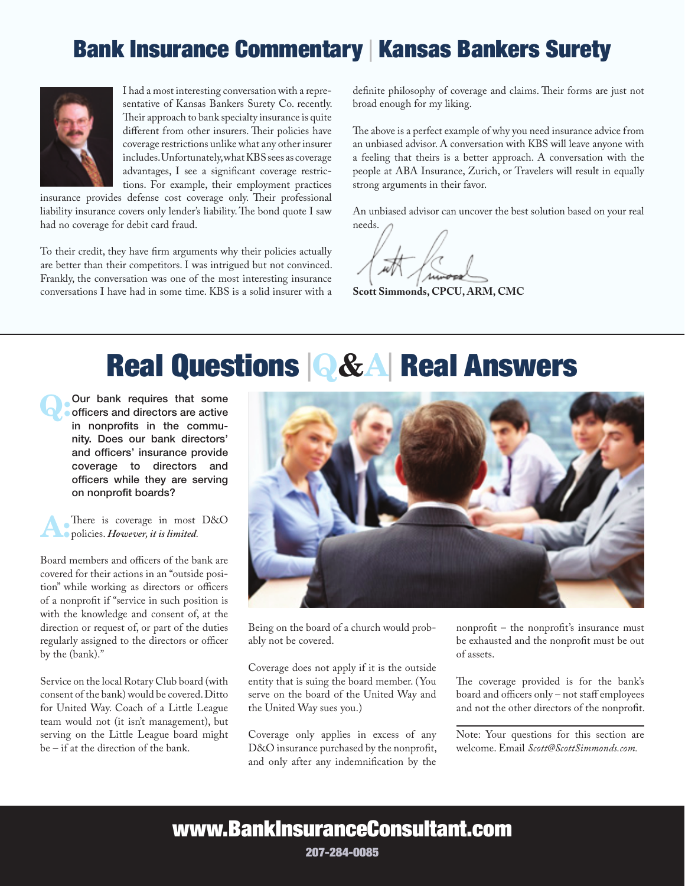## Bank Insurance Commentary | Kansas Bankers Surety



I had a most interesting conversation with a representative of Kansas Bankers Surety Co. recently. Their approach to bank specialty insurance is quite different from other insurers. Their policies have coverage restrictions unlike what any other insurer includes. Unfortunately, what KBS sees as coverage advantages, I see a significant coverage restrictions. For example, their employment practices

insurance provides defense cost coverage only. Their professional liability insurance covers only lender's liability. The bond quote I saw had no coverage for debit card fraud.

To their credit, they have firm arguments why their policies actually are better than their competitors. I was intrigued but not convinced. Frankly, the conversation was one of the most interesting insurance conversations I have had in some time. KBS is a solid insurer with a

definite philosophy of coverage and claims. Their forms are just not broad enough for my liking.

The above is a perfect example of why you need insurance advice from an unbiased advisor. A conversation with KBS will leave anyone with a feeling that theirs is a better approach. A conversation with the people at ABA Insurance, Zurich, or Travelers will result in equally strong arguments in their favor.

An unbiased advisor can uncover the best solution based on your real needs.

**Scott Simmonds, CPCU, ARM, CMC**

## Real Questions <sup>|</sup>Q&A| Real Answers

Q:Our bank requires that some officers and directors are active in nonprofits in the community. Does our bank directors' and officers' insurance provide coverage to directors and officers while they are serving on nonprofit boards?



There is coverage in most D&O policies. *However, it is limited.*

Board members and officers of the bank are covered for their actions in an "outside position" while working as directors or officers of a nonprofit if "service in such position is with the knowledge and consent of, at the direction or request of, or part of the duties regularly assigned to the directors or officer by the (bank)."

Service on the local Rotary Club board (with consent of the bank) would be covered. Ditto for United Way. Coach of a Little League team would not (it isn't management), but serving on the Little League board might be – if at the direction of the bank.



Being on the board of a church would probably not be covered.

Coverage does not apply if it is the outside entity that is suing the board member. (You serve on the board of the United Way and the United Way sues you.)

Coverage only applies in excess of any D&O insurance purchased by the nonprofit, and only after any indemnification by the

nonprofit – the nonprofit's insurance must be exhausted and the nonprofit must be out of assets.

The coverage provided is for the bank's board and officers only – not staff employees and not the other directors of the nonprofit.

Note: Your questions for this section are welcome. Email *Scott@ScottSimmonds.com.* 

## www.BankInsuranceConsultant.com

207-284-0085